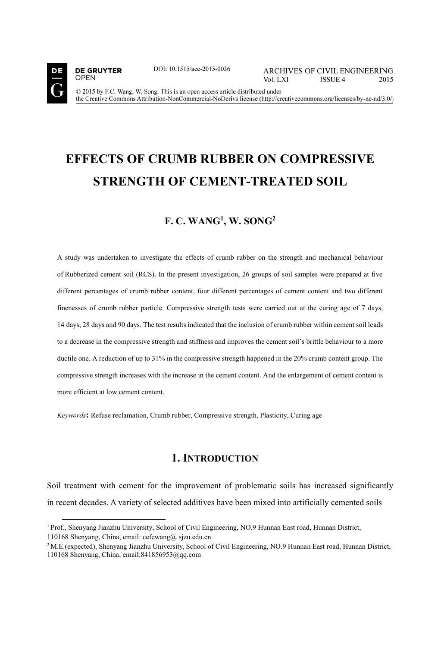

**OPEN** 

**DE GRUYTER** 

DOI: 10.1515/ace-2015-0036

**ARCHIVES OF CIVIL ENGINEERING** Vol. LXI **ISSUE 4** 2015

© 2015 by F.C. Wang, W. Song. This is an open access article distributed under the Creative Commons Attribution-NonCommercial-NoDerivs license (http://creativecommons.org/licenses/by-nc-nd/3.0/)

# **EFFECTS OF CRUMB RUBBER ON COMPRESSIVE STRENGTH OF CEMENT-TREATED SOIL**

### **F. C. WANG1 , W. SONG2**

A study was undertaken to investigate the effects of crumb rubber on the strength and mechanical behaviour of Rubberized cement soil (RCS). In the present investigation, 26 groups of soil samples were prepared at five different percentages of crumb rubber content, four different percentages of cement content and two different finenesses of crumb rubber particle. Compressive strength tests were carried out at the curing age of 7 days, 14 days, 28 days and 90 days. The test results indicated that the inclusion of crumb rubber within cement soil leads to a decrease in the compressive strength and stiffness and improves the cement soil's brittle behaviour to a more ductile one. A reduction of up to 31% in the compressive strength happened in the 20% crumb content group. The compressive strength increases with the increase in the cement content. And the enlargement of cement content is more efficient at low cement content.

*Keywords***:** Refuse reclamation, Crumb rubber, Compressive strength, Plasticity, Curing age

# **1. INTRODUCTION**

Soil treatment with cement for the improvement of problematic soils has increased significantly in recent decades. A variety of selected additives have been mixed into artificially cemented soils

<sup>1</sup> Prof., Shenyang Jianzhu University, School of Civil Engineering, NO.9 Hunnan East road, Hunnan District, 110168 Shenyang, China, email: cefcwang@ sjzu.edu.cn

 $2$  M.E.(expected), Shenyang Jianzhu University, School of Civil Engineering, NO.9 Hunnan East road, Hunnan District, 110168 Shenyang, China, email:841856953@qq.com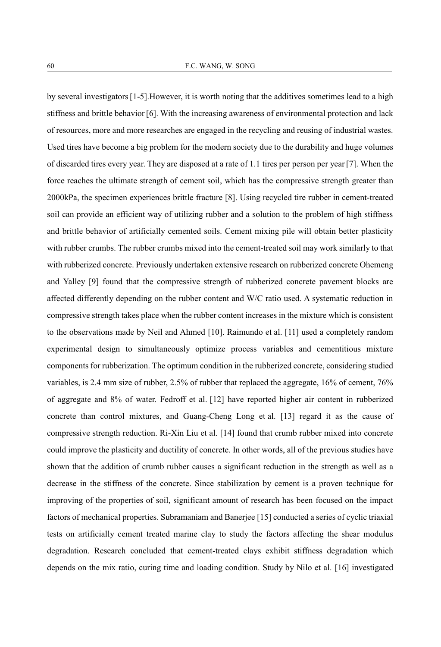by several investigators [1-5].However, it is worth noting that the additives sometimes lead to a high stiffness and brittle behavior [6]. With the increasing awareness of environmental protection and lack of resources, more and more researches are engaged in the recycling and reusing of industrial wastes. Used tires have become a big problem for the modern society due to the durability and huge volumes of discarded tires every year. They are disposed at a rate of 1.1 tires per person per year [7]. When the force reaches the ultimate strength of cement soil, which has the compressive strength greater than 2000kPa, the specimen experiences brittle fracture [8]. Using recycled tire rubber in cement-treated soil can provide an efficient way of utilizing rubber and a solution to the problem of high stiffness and brittle behavior of artificially cemented soils. Cement mixing pile will obtain better plasticity with rubber crumbs. The rubber crumbs mixed into the cement-treated soil may work similarly to that with rubberized concrete. Previously undertaken extensive research on rubberized concrete Ohemeng and Yalley [9] found that the compressive strength of rubberized concrete pavement blocks are affected differently depending on the rubber content and W/C ratio used. A systematic reduction in compressive strength takes place when the rubber content increases in the mixture which is consistent to the observations made by Neil and Ahmed [10]. Raimundo et al. [11] used a completely random experimental design to simultaneously optimize process variables and cementitious mixture components for rubberization. The optimum condition in the rubberized concrete, considering studied variables, is 2.4 mm size of rubber, 2.5% of rubber that replaced the aggregate, 16% of cement, 76% of aggregate and 8% of water. Fedroff et al. [12] have reported higher air content in rubberized concrete than control mixtures, and Guang-Cheng Long et al. [13] regard it as the cause of compressive strength reduction. Ri-Xin Liu et al. [14] found that crumb rubber mixed into concrete could improve the plasticity and ductility of concrete. In other words, all of the previous studies have shown that the addition of crumb rubber causes a significant reduction in the strength as well as a decrease in the stiffness of the concrete. Since stabilization by cement is a proven technique for improving of the properties of soil, significant amount of research has been focused on the impact factors of mechanical properties. Subramaniam and Banerjee [15] conducted a series of cyclic triaxial tests on artificially cement treated marine clay to study the factors affecting the shear modulus degradation. Research concluded that cement-treated clays exhibit stiffness degradation which depends on the mix ratio, curing time and loading condition. Study by Nilo et al. [16] investigated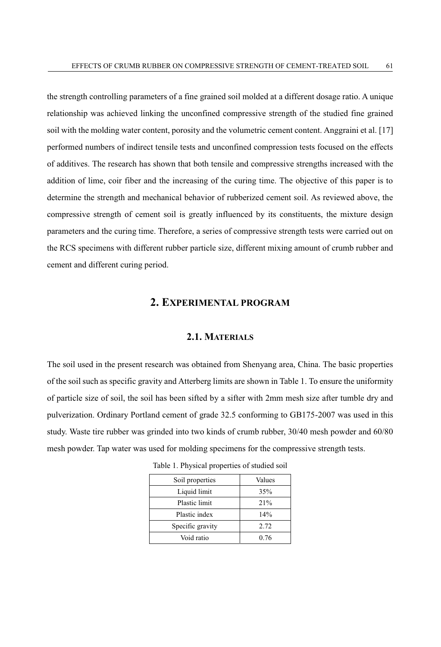the strength controlling parameters of a fine grained soil molded at a different dosage ratio. A unique relationship was achieved linking the unconfined compressive strength of the studied fine grained soil with the molding water content, porosity and the volumetric cement content. Anggraini et al. [17] performed numbers of indirect tensile tests and unconfined compression tests focused on the effects of additives. The research has shown that both tensile and compressive strengths increased with the addition of lime, coir fiber and the increasing of the curing time. The objective of this paper is to determine the strength and mechanical behavior of rubberized cement soil. As reviewed above, the compressive strength of cement soil is greatly influenced by its constituents, the mixture design parameters and the curing time. Therefore, a series of compressive strength tests were carried out on the RCS specimens with different rubber particle size, different mixing amount of crumb rubber and cement and different curing period.

#### **2. EXPERIMENTAL PROGRAM**

#### **2.1. MATERIALS**

The soil used in the present research was obtained from Shenyang area, China. The basic properties of the soil such as specific gravity and Atterberg limits are shown in Table 1. To ensure the uniformity of particle size of soil, the soil has been sifted by a sifter with 2mm mesh size after tumble dry and pulverization. Ordinary Portland cement of grade 32.5 conforming to GB175-2007 was used in this study. Waste tire rubber was grinded into two kinds of crumb rubber, 30/40 mesh powder and 60/80 mesh powder. Tap water was used for molding specimens for the compressive strength tests.

| Soil properties  | Values |
|------------------|--------|
| Liquid limit     | 35%    |
| Plastic limit    | 21%    |
| Plastic index    | 14%    |
| Specific gravity | 2.72   |
| Void ratio       | 0.76   |

Table 1. Physical properties of studied soil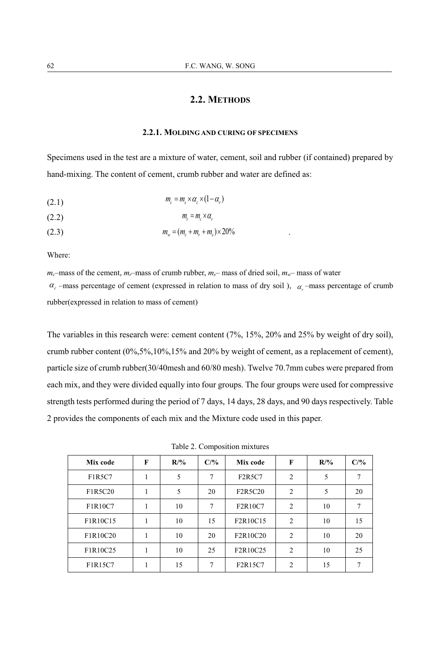### **2.2. METHODS**

#### **2.2.1. MOLDING AND CURING OF SPECIMENS**

Specimens used in the test are a mixture of water, cement, soil and rubber (if contained) prepared by hand-mixing. The content of cement, crumb rubber and water are defined as:

(2.1)  $m_{\scriptscriptstyle \circ} = m_{\scriptscriptstyle \circ} \times \alpha_{\scriptscriptstyle \circ} \times (1 - \alpha_{\scriptscriptstyle \circ})$ 

$$
(2.2) \t\t m_r = m_c \times a_r
$$

$$
(2.3) \t\t m_w = (m_c + m_r + m_s) \times 20\%
$$

Where:

 $m_c$ –mass of the cement,  $m_r$ –mass of crumb rubber,  $m_s$ – mass of dried soil,  $m_w$ – mass of water

 $\alpha_c$  –mass percentage of cement (expressed in relation to mass of dry soil),  $\alpha_r$  –mass percentage of crumb rubber(expressed in relation to mass of cement)

The variables in this research were: cement content (7%, 15%, 20% and 25% by weight of dry soil), crumb rubber content (0%,5%,10%,15% and 20% by weight of cement, as a replacement of cement), particle size of crumb rubber(30/40mesh and 60/80 mesh). Twelve 70.7mm cubes were prepared from each mix, and they were divided equally into four groups. The four groups were used for compressive strength tests performed during the period of 7 days, 14 days, 28 days, and 90 days respectively. Table 2 provides the components of each mix and the Mixture code used in this paper.

Table 2. Composition mixtures

| Mix code | F | $R/\%$ | C/9/6 | Mix code | F              | $R/\%$ | C/% |
|----------|---|--------|-------|----------|----------------|--------|-----|
| F1R5C7   |   | 5      | 7     | F2R5C7   | $\overline{c}$ | 5      | 7   |
| F1R5C20  | 1 | 5      | 20    | F2R5C20  | 2              | 5      | 20  |
| F1R10C7  | 1 | 10     | 7     | F2R10C7  | 2              | 10     | 7   |
| F1R10C15 | 1 | 10     | 15    | F2R10C15 | 2              | 10     | 15  |
| F1R10C20 | 1 | 10     | 20    | F2R10C20 | 2              | 10     | 20  |
| F1R10C25 | 1 | 10     | 25    | F2R10C25 | 2              | 10     | 25  |
| F1R15C7  |   | 15     | 7     | F2R15C7  | 2              | 15     | 7   |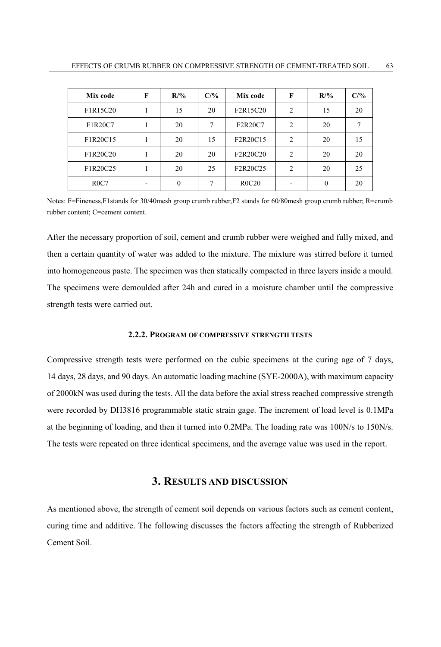| Mix code | F | $R/\%$   | $C/$ % | Mix code     | F              | $R/\%$   | C/% |
|----------|---|----------|--------|--------------|----------------|----------|-----|
| F1R15C20 |   | 15       | 20     | F2R15C20     | $\overline{c}$ | 15       | 20  |
| F1R20C7  |   | 20       | 7      | F2R20C7      | $\overline{c}$ | 20       |     |
| F1R20C15 |   | 20       | 15     | F2R20C15     | $\mathfrak{D}$ | 20       | 15  |
| F1R20C20 |   | 20       | 20     | F2R20C20     | 2              | 20       | 20  |
| F1R20C25 |   | 20       | 25     | F2R20C25     | $\overline{c}$ | 20       | 25  |
| ROC7     |   | $\theta$ | 7      | <b>R0C20</b> |                | $\theta$ | 20  |

Notes: F=Fineness,F1stands for 30/40mesh group crumb rubber,F2 stands for 60/80mesh group crumb rubber; R=crumb rubber content; C=cement content.

After the necessary proportion of soil, cement and crumb rubber were weighed and fully mixed, and then a certain quantity of water was added to the mixture. The mixture was stirred before it turned into homogeneous paste. The specimen was then statically compacted in three layers inside a mould. The specimens were demoulded after 24h and cured in a moisture chamber until the compressive strength tests were carried out.

#### **2.2.2. PROGRAM OF COMPRESSIVE STRENGTH TESTS**

Compressive strength tests were performed on the cubic specimens at the curing age of 7 days, 14 days, 28 days, and 90 days. An automatic loading machine (SYE-2000A), with maximum capacity of 2000kN was used during the tests. All the data before the axial stress reached compressive strength were recorded by DH3816 programmable static strain gage. The increment of load level is 0.1MPa at the beginning of loading, and then it turned into 0.2MPa. The loading rate was 100N/s to 150N/s. The tests were repeated on three identical specimens, and the average value was used in the report.

#### **3. RESULTS AND DISCUSSION**

As mentioned above, the strength of cement soil depends on various factors such as cement content, curing time and additive. The following discusses the factors affecting the strength of Rubberized Cement Soil.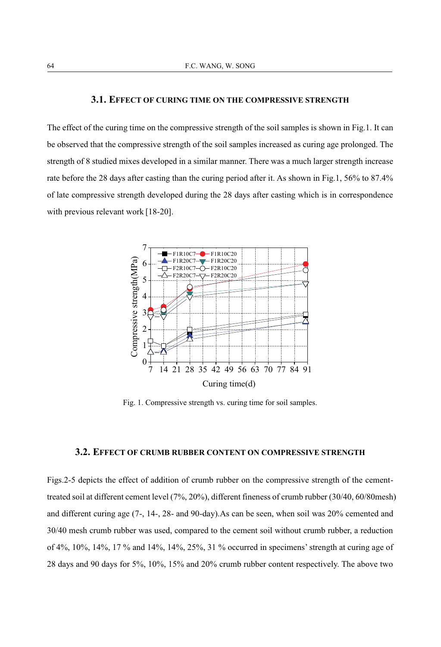#### **3.1. EFFECT OF CURING TIME ON THE COMPRESSIVE STRENGTH**

The effect of the curing time on the compressive strength of the soil samples is shown in Fig.1. It can be observed that the compressive strength of the soil samples increased as curing age prolonged. The strength of 8 studied mixes developed in a similar manner. There was a much larger strength increase rate before the 28 days after casting than the curing period after it. As shown in Fig.1, 56% to 87.4% of late compressive strength developed during the 28 days after casting which is in correspondence with previous relevant work [18-20].



Fig. 1. Compressive strength vs. curing time for soil samples.

#### **3.2. EFFECT OF CRUMB RUBBER CONTENT ON COMPRESSIVE STRENGTH**

Figs.2-5 depicts the effect of addition of crumb rubber on the compressive strength of the cementtreated soil at different cement level (7%, 20%), different fineness of crumb rubber (30/40, 60/80mesh) and different curing age (7-, 14-, 28- and 90-day).As can be seen, when soil was 20% cemented and 30/40 mesh crumb rubber was used, compared to the cement soil without crumb rubber, a reduction of 4%, 10%, 14%, 17 % and 14%, 14%, 25%, 31 % occurred in specimens' strength at curing age of 28 days and 90 days for 5%, 10%, 15% and 20% crumb rubber content respectively. The above two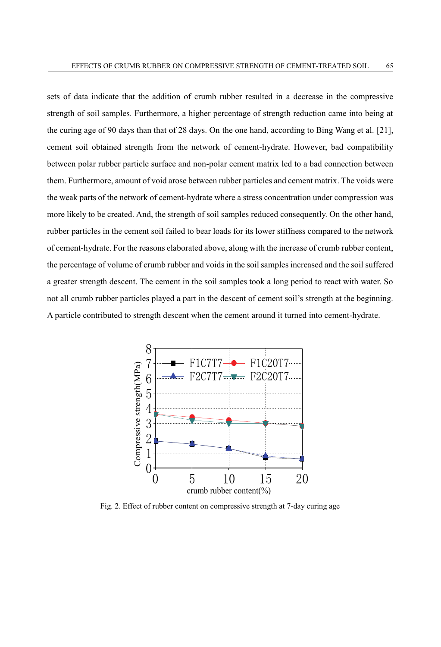sets of data indicate that the addition of crumb rubber resulted in a decrease in the compressive strength of soil samples. Furthermore, a higher percentage of strength reduction came into being at the curing age of 90 days than that of 28 days. On the one hand, according to Bing Wang et al. [21], cement soil obtained strength from the network of cement-hydrate. However, bad compatibility between polar rubber particle surface and non-polar cement matrix led to a bad connection between them. Furthermore, amount of void arose between rubber particles and cement matrix. The voids were the weak parts of the network of cement-hydrate where a stress concentration under compression was more likely to be created. And, the strength of soil samples reduced consequently. On the other hand, rubber particles in the cement soil failed to bear loads for its lower stiffness compared to the network of cement-hydrate. For the reasons elaborated above, along with the increase of crumb rubber content, the percentage of volume of crumb rubber and voids in the soil samples increased and the soil suffered a greater strength descent. The cement in the soil samples took a long period to react with water. So not all crumb rubber particles played a part in the descent of cement soil's strength at the beginning. A particle contributed to strength descent when the cement around it turned into cement-hydrate.



Fig. 2. Effect of rubber content on compressive strength at 7-day curing age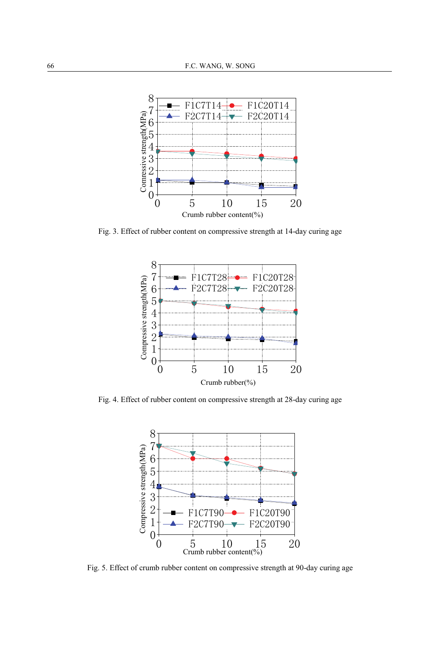

Fig. 3. Effect of rubber content on compressive strength at 14-day curing age



Fig. 4. Effect of rubber content on compressive strength at 28-day curing age



Fig. 5. Effect of crumb rubber content on compressive strength at 90-day curing age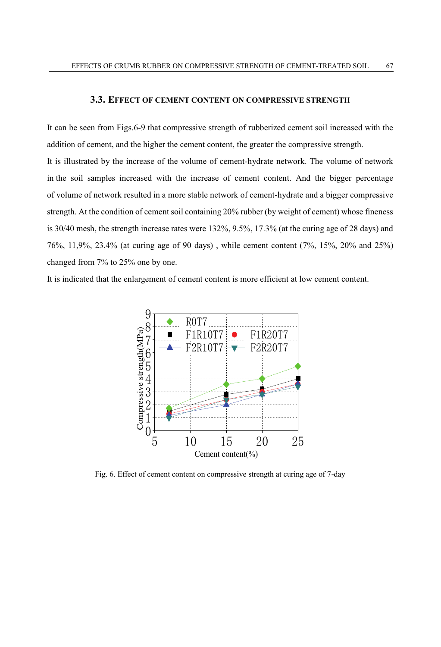#### **3.3. EFFECT OF CEMENT CONTENT ON COMPRESSIVE STRENGTH**

It can be seen from Figs.6-9 that compressive strength of rubberized cement soil increased with the addition of cement, and the higher the cement content, the greater the compressive strength. It is illustrated by the increase of the volume of cement-hydrate network. The volume of network in the soil samples increased with the increase of cement content. And the bigger percentage of volume of network resulted in a more stable network of cement-hydrate and a bigger compressive strength. At the condition of cement soil containing 20% rubber (by weight of cement) whose fineness is 30/40 mesh, the strength increase rates were 132%, 9.5%, 17.3% (at the curing age of 28 days) and 76%, 11,9%, 23,4% (at curing age of 90 days) , while cement content (7%, 15%, 20% and 25%) changed from 7% to 25% one by one.

It is indicated that the enlargement of cement content is more efficient at low cement content.



Fig. 6. Effect of cement content on compressive strength at curing age of 7-day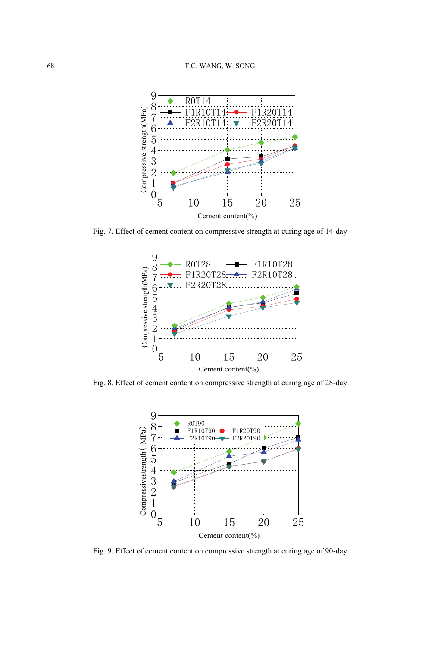

Fig. 7. Effect of cement content on compressive strength at curing age of 14-day



Fig. 8. Effect of cement content on compressive strength at curing age of 28-day



Fig. 9. Effect of cement content on compressive strength at curing age of 90-day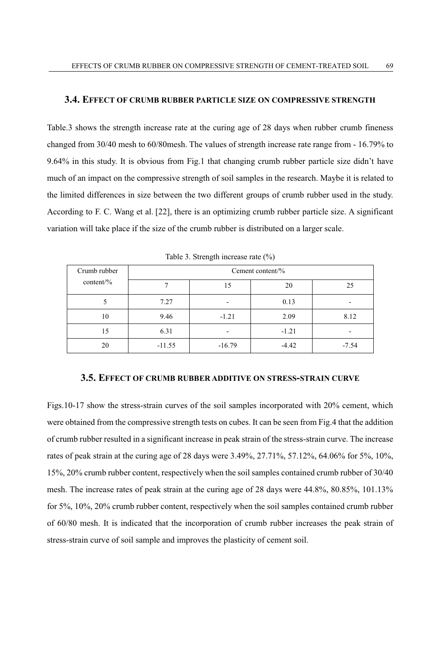#### **3.4. EFFECT OF CRUMB RUBBER PARTICLE SIZE ON COMPRESSIVE STRENGTH**

Table.3 shows the strength increase rate at the curing age of 28 days when rubber crumb fineness changed from 30/40 mesh to 60/80mesh. The values of strength increase rate range from - 16.79% to 9.64% in this study. It is obvious from Fig.1 that changing crumb rubber particle size didn't have much of an impact on the compressive strength of soil samples in the research. Maybe it is related to the limited differences in size between the two different groups of crumb rubber used in the study. According to F. C. Wang et al. [22], there is an optimizing crumb rubber particle size. A significant variation will take place if the size of the crumb rubber is distributed on a larger scale.

| Crumb rubber<br>content/% | Cement content/% |          |         |         |  |  |  |
|---------------------------|------------------|----------|---------|---------|--|--|--|
|                           |                  | 15       | 20      | 25      |  |  |  |
|                           | 7.27             | -        | 0.13    |         |  |  |  |
| 10                        | 9.46             | $-1.21$  | 2.09    | 8.12    |  |  |  |
| 15                        | 6.31             | -        | $-1.21$ |         |  |  |  |
| 20                        | $-11.55$         | $-16.79$ | $-4.42$ | $-7.54$ |  |  |  |

Table 3. Strength increase rate (%)

#### **3.5. EFFECT OF CRUMB RUBBER ADDITIVE ON STRESS-STRAIN CURVE**

Figs.10-17 show the stress-strain curves of the soil samples incorporated with 20% cement, which were obtained from the compressive strength tests on cubes. It can be seen from Fig.4 that the addition of crumb rubber resulted in a significant increase in peak strain of the stress-strain curve. The increase rates of peak strain at the curing age of 28 days were 3.49%, 27.71%, 57.12%, 64.06% for 5%, 10%, 15%, 20% crumb rubber content, respectively when the soil samples contained crumb rubber of 30/40 mesh. The increase rates of peak strain at the curing age of 28 days were 44.8%, 80.85%, 101.13% for 5%, 10%, 20% crumb rubber content, respectively when the soil samples contained crumb rubber of 60/80 mesh. It is indicated that the incorporation of crumb rubber increases the peak strain of stress-strain curve of soil sample and improves the plasticity of cement soil.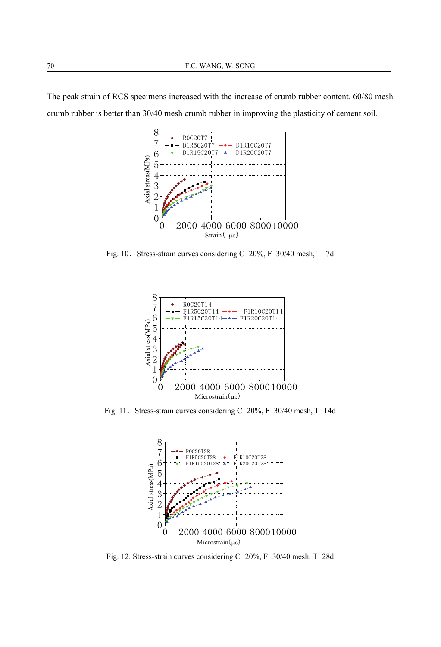The peak strain of RCS specimens increased with the increase of crumb rubber content. 60/80 mesh crumb rubber is better than 30/40 mesh crumb rubber in improving the plasticity of cement soil.



Fig. 10. Stress-strain curves considering C=20%, F=30/40 mesh, T=7d



Fig. 11. Stress-strain curves considering C=20%, F=30/40 mesh, T=14d



Fig. 12. Stress-strain curves considering C=20%, F=30/40 mesh, T=28d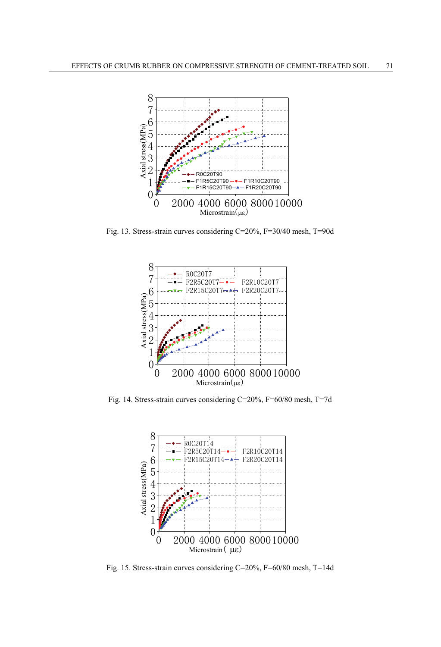

Fig. 13. Stress-strain curves considering C=20%, F=30/40 mesh, T=90d



Fig. 14. Stress-strain curves considering C=20%, F=60/80 mesh, T=7d



Fig. 15. Stress-strain curves considering C=20%, F=60/80 mesh, T=14d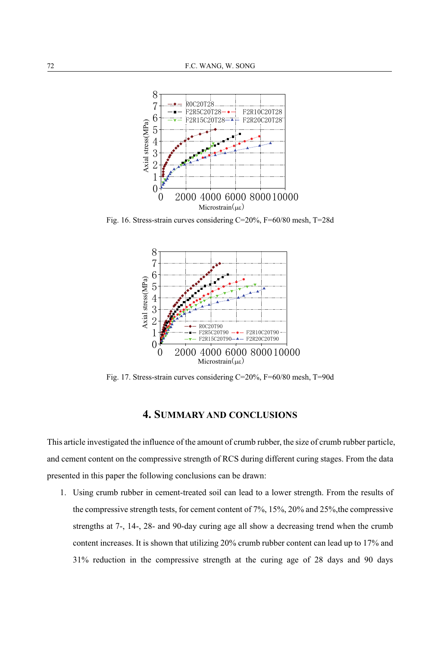

Fig. 16. Stress-strain curves considering C=20%, F=60/80 mesh, T=28d



Fig. 17. Stress-strain curves considering C=20%, F=60/80 mesh, T=90d

#### **4. SUMMARY AND CONCLUSIONS**

This article investigated the influence of the amount of crumb rubber, the size of crumb rubber particle, and cement content on the compressive strength of RCS during different curing stages. From the data presented in this paper the following conclusions can be drawn:

1. Using crumb rubber in cement-treated soil can lead to a lower strength. From the results of the compressive strength tests, for cement content of 7%, 15%, 20% and 25%,the compressive strengths at 7-, 14-, 28- and 90-day curing age all show a decreasing trend when the crumb content increases. It is shown that utilizing 20% crumb rubber content can lead up to 17% and 31% reduction in the compressive strength at the curing age of 28 days and 90 days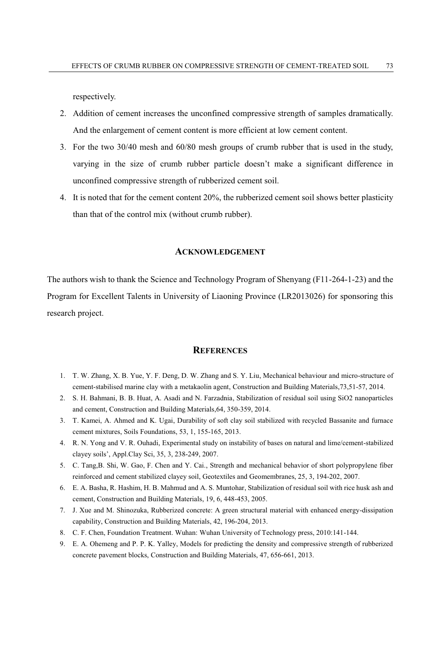respectively.

- 2. Addition of cement increases the unconfined compressive strength of samples dramatically. And the enlargement of cement content is more efficient at low cement content.
- 3. For the two 30/40 mesh and 60/80 mesh groups of crumb rubber that is used in the study, varying in the size of crumb rubber particle doesn't make a significant difference in unconfined compressive strength of rubberized cement soil.
- 4. It is noted that for the cement content 20%, the rubberized cement soil shows better plasticity than that of the control mix (without crumb rubber).

#### **ACKNOWLEDGEMENT**

The authors wish to thank the Science and Technology Program of Shenyang (F11-264-1-23) and the Program for Excellent Talents in University of Liaoning Province (LR2013026) for sponsoring this research project.

#### **REFERENCES**

- 1. T. W. Zhang, X. B. Yue, Y. F. Deng, D. W. Zhang and S. Y. Liu, Mechanical behaviour and micro-structure of cement-stabilised marine clay with a metakaolin agent, Construction and Building Materials,73,51-57, 2014.
- 2. S. H. Bahmani, B. B. Huat, A. Asadi and N. Farzadnia, Stabilization of residual soil using SiO2 nanoparticles and cement, Construction and Building Materials,64, 350-359, 2014.
- 3. T. Kamei, A. Ahmed and K. Ugai, Durability of soft clay soil stabilized with recycled Bassanite and furnace cement mixtures, Soils Foundations, 53, 1, 155-165, 2013.
- 4. R. N. Yong and V. R. Ouhadi, Experimental study on instability of bases on natural and lime/cement-stabilized clayey soils', Appl.Clay Sci, 35, 3, 238-249, 2007.
- 5. C. Tang,B. Shi, W. Gao, F. Chen and Y. Cai., Strength and mechanical behavior of short polypropylene fiber reinforced and cement stabilized clayey soil, Geotextiles and Geomembranes, 25, 3, 194-202, 2007.
- 6. E. A. Basha, R. Hashim, H. B. Mahmud and A. S. Muntohar, Stabilization of residual soil with rice husk ash and cement, Construction and Building Materials, 19, 6, 448-453, 2005.
- 7. J. Xue and M. Shinozuka, Rubberized concrete: A green structural material with enhanced energy-dissipation capability, Construction and Building Materials, 42, 196-204, 2013.
- 8. C. F. Chen, Foundation Treatment. Wuhan: Wuhan University of Technology press, 2010:141-144.
- 9. E. A. Ohemeng and P. P. K. Yalley, Models for predicting the density and compressive strength of rubberized concrete pavement blocks, Construction and Building Materials, 47, 656-661, 2013.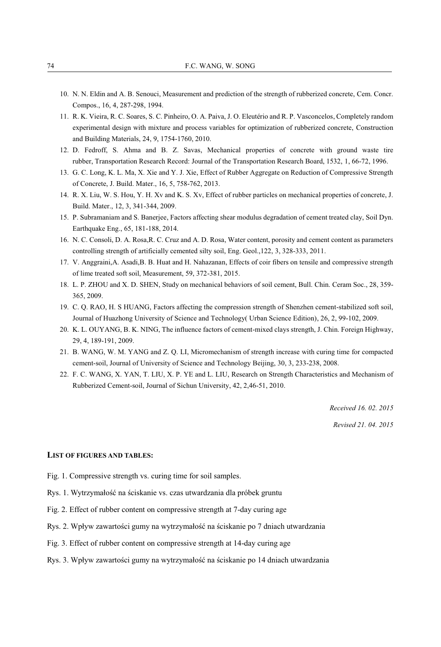- 10. N. N. Eldin and A. B. Senouci, Measurement and prediction of the strength of rubberized concrete, Cem. Concr. Compos., 16, 4, 287-298, 1994.
- 11. R. K. Vieira, R. C. Soares, S. C. Pinheiro, O. A. Paiva, J. O. Eleutério and R. P. Vasconcelos, Completely random experimental design with mixture and process variables for optimization of rubberized concrete, Construction and Building Materials, 24, 9, 1754-1760, 2010.
- 12. D. Fedroff, S. Ahma and B. Z. Savas, Mechanical properties of concrete with ground waste tire rubber, Transportation Research Record: Journal of the Transportation Research Board, 1532, 1, 66-72, 1996.
- 13. G. C. Long, K. L. Ma, X. Xie and Y. J. Xie, Effect of Rubber Aggregate on Reduction of Compressive Strength of Concrete, J. Build. Mater., 16, 5, 758-762, 2013.
- 14. R. X. Liu, W. S. Hou, Y. H. Xv and K. S. Xv, Effect of rubber particles on mechanical properties of concrete, J. Build. Mater., 12, 3, 341-344, 2009.
- 15. P. Subramaniam and S. Banerjee, Factors affecting shear modulus degradation of cement treated clay, Soil Dyn. Earthquake Eng., 65, 181-188, 2014.
- 16. N. C. Consoli, D. A. Rosa,R. C. Cruz and A. D. Rosa, Water content, porosity and cement content as parameters controlling strength of artificially cemented silty soil, Eng. Geol.,122, 3, 328-333, 2011.
- 17. V. Anggraini,A. Asadi,B. B. Huat and H. Nahazanan, Effects of coir fibers on tensile and compressive strength of lime treated soft soil, Measurement, 59, 372-381, 2015.
- 18. L. P. ZHOU and X. D. SHEN, Study on mechanical behaviors of soil cement, Bull. Chin. Ceram Soc., 28, 359- 365, 2009.
- 19. C. Q. RAO, H. S HUANG, Factors affecting the compression strength of Shenzhen cement-stabilized soft soil, Journal of Huazhong University of Science and Technology( Urban Science Edition), 26, 2, 99-102, 2009.
- 20. K. L. OUYANG, B. K. NING, The influence factors of cement-mixed clays strength, J. Chin. Foreign Highway, 29, 4, 189-191, 2009.
- 21. B. WANG, W. M. YANG and Z. Q. LI, Micromechanism of strength increase with curing time for compacted cement-soil, Journal of University of Science and Technology Beijing, 30, 3, 233-238, 2008.
- 22. F. C. WANG, X. YAN, T. LIU, X. P. YE and L. LIU, Research on Strength Characteristics and Mechanism of Rubberized Cement-soil, Journal of Sichun University, 42, 2,46-51, 2010.

*Received 16. 02. 2015* 

*Revised 21. 04. 2015* 

#### **LIST OF FIGURES AND TABLES:**

- Fig. 1. Compressive strength vs. curing time for soil samples.
- Rys. 1. Wytrzymałość na ściskanie vs. czas utwardzania dla próbek gruntu
- Fig. 2. Effect of rubber content on compressive strength at 7-day curing age
- Rys. 2. Wpływ zawartości gumy na wytrzymałość na ściskanie po 7 dniach utwardzania
- Fig. 3. Effect of rubber content on compressive strength at 14-day curing age
- Rys. 3. Wpływ zawartości gumy na wytrzymałość na ściskanie po 14 dniach utwardzania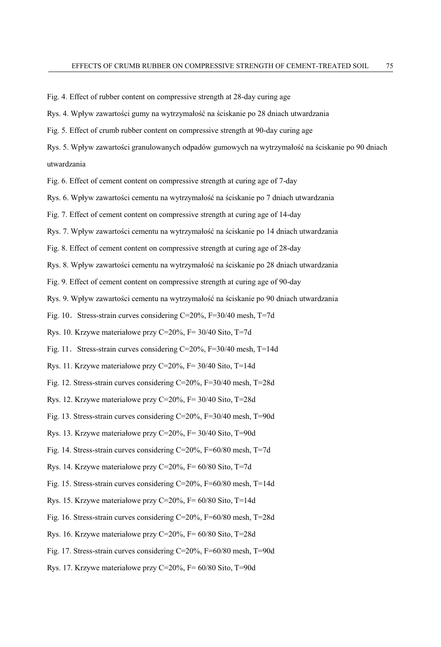Fig. 4. Effect of rubber content on compressive strength at 28-day curing age

Rys. 4. Wpływ zawartości gumy na wytrzymałość na ściskanie po 28 dniach utwardzania

Fig. 5. Effect of crumb rubber content on compressive strength at 90-day curing age

Rys. 5. Wpływ zawartości granulowanych odpadów gumowych na wytrzymałość na ściskanie po 90 dniach utwardzania

Fig. 6. Effect of cement content on compressive strength at curing age of 7-day

Rys. 6. Wpływ zawartości cementu na wytrzymałość na ściskanie po 7 dniach utwardzania

Fig. 7. Effect of cement content on compressive strength at curing age of 14-day

Rys. 7. Wpływ zawartości cementu na wytrzymałość na ściskanie po 14 dniach utwardzania

Fig. 8. Effect of cement content on compressive strength at curing age of 28-day

Rys. 8. Wpływ zawartości cementu na wytrzymałość na ściskanie po 28 dniach utwardzania

Fig. 9. Effect of cement content on compressive strength at curing age of 90-day

Rys. 9. Wpływ zawartości cementu na wytrzymałość na ściskanie po 90 dniach utwardzania

Fig. 10. Stress-strain curves considering C=20%, F=30/40 mesh, T=7d

Rys. 10. Krzywe materiałowe przy C=20%, F= 30/40 Sito, T=7d

Fig. 11. Stress-strain curves considering  $C=20\%$ , F=30/40 mesh, T=14d

Rys. 11. Krzywe materiałowe przy C=20%, F= 30/40 Sito, T=14d

Fig. 12. Stress-strain curves considering C=20%, F=30/40 mesh, T=28d

Rys. 12. Krzywe materiałowe przy C=20%, F= 30/40 Sito, T=28d

Fig. 13. Stress-strain curves considering C=20%, F=30/40 mesh, T=90d

Rys. 13. Krzywe materiałowe przy C=20%, F= 30/40 Sito, T=90d

Fig. 14. Stress-strain curves considering C=20%, F=60/80 mesh, T=7d

Rys. 14. Krzywe materiałowe przy C=20%, F= 60/80 Sito, T=7d

Fig. 15. Stress-strain curves considering C=20%, F=60/80 mesh, T=14d

Rys. 15. Krzywe materiałowe przy C=20%, F= 60/80 Sito, T=14d

Fig. 16. Stress-strain curves considering C=20%, F=60/80 mesh, T=28d

Rys. 16. Krzywe materiałowe przy C=20%, F= 60/80 Sito, T=28d

Fig. 17. Stress-strain curves considering C=20%, F=60/80 mesh, T=90d

Rys. 17. Krzywe materiałowe przy C=20%, F= 60/80 Sito, T=90d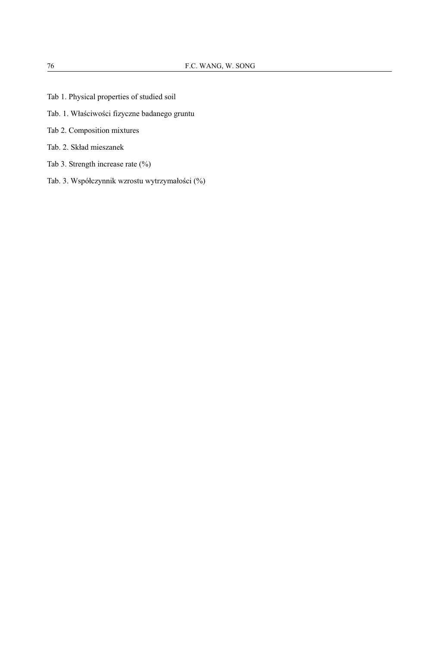- Tab 1. Physical properties of studied soil
- Tab. 1. Właściwości fizyczne badanego gruntu
- Tab 2. Composition mixtures
- Tab. 2. Skład mieszanek
- Tab 3. Strength increase rate (%)
- Tab. 3. Współczynnik wzrostu wytrzymałości (%)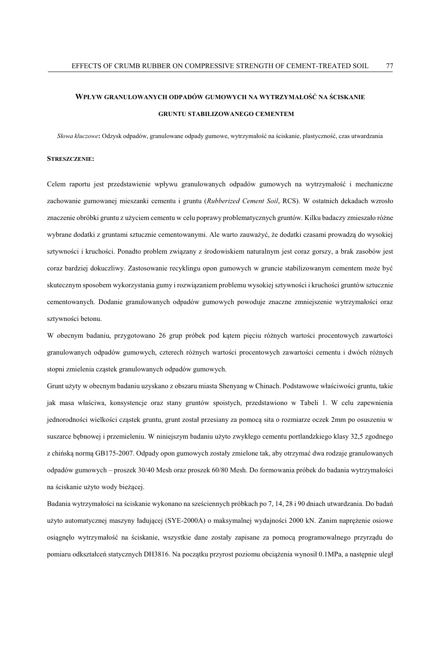## **WPŁYW GRANULOWANYCH ODPADÓW GUMOWYCH NA WYTRZYMAŁOŚĆ NA ŚCISKANIE GRUNTU STABILIZOWANEGO CEMENTEM**

*Słowa kluczowe***:** Odzysk odpadów, granulowane odpady gumowe, wytrzymałość na ściskanie, plastyczność, czas utwardzania

#### **STRESZCZENIE:**

Celem raportu jest przedstawienie wpływu granulowanych odpadów gumowych na wytrzymałość i mechaniczne zachowanie gumowanej mieszanki cementu i gruntu (*Rubberized Cement Soil*, RCS). W ostatnich dekadach wzrosło znaczenie obróbki gruntu z użyciem cementu w celu poprawy problematycznych gruntów. Kilku badaczy zmieszało różne wybrane dodatki z gruntami sztucznie cementowanymi. Ale warto zauważyć, że dodatki czasami prowadzą do wysokiej sztywności i kruchości. Ponadto problem związany z środowiskiem naturalnym jest coraz gorszy, a brak zasobów jest coraz bardziej dokuczliwy. Zastosowanie recyklingu opon gumowych w gruncie stabilizowanym cementem może być skutecznym sposobem wykorzystania gumy i rozwiązaniem problemu wysokiej sztywności i kruchości gruntów sztucznie cementowanych. Dodanie granulowanych odpadów gumowych powoduje znaczne zmniejszenie wytrzymałości oraz sztywności betonu.

W obecnym badaniu, przygotowano 26 grup próbek pod kątem pięciu różnych wartości procentowych zawartości granulowanych odpadów gumowych, czterech różnych wartości procentowych zawartości cementu i dwóch różnych stopni zmielenia cząstek granulowanych odpadów gumowych.

Grunt użyty w obecnym badaniu uzyskano z obszaru miasta Shenyang w Chinach. Podstawowe właściwości gruntu, takie jak masa właściwa, konsystencje oraz stany gruntów spoistych, przedstawiono w Tabeli 1. W celu zapewnienia jednorodności wielkości cząstek gruntu, grunt został przesiany za pomocą sita o rozmiarze oczek 2mm po osuszeniu w suszarce bębnowej i przemieleniu. W niniejszym badaniu użyto zwykłego cementu portlandzkiego klasy 32,5 zgodnego z chińską normą GB175-2007. Odpady opon gumowych zostały zmielone tak, aby otrzymać dwa rodzaje granulowanych odpadów gumowych – proszek 30/40 Mesh oraz proszek 60/80 Mesh. Do formowania próbek do badania wytrzymałości na ściskanie użyto wody bieżącej.

Badania wytrzymałości na ściskanie wykonano na sześciennych próbkach po 7, 14, 28 i 90 dniach utwardzania. Do badań użyto automatycznej maszyny ładującej (SYE-2000A) o maksymalnej wydajności 2000 kN. Zanim naprężenie osiowe osiągnęło wytrzymałość na ściskanie, wszystkie dane zostały zapisane za pomocą programowalnego przyrządu do pomiaru odkształceń statycznych DH3816. Na początku przyrost poziomu obciążenia wynosił 0.1MPa, a następnie uległ